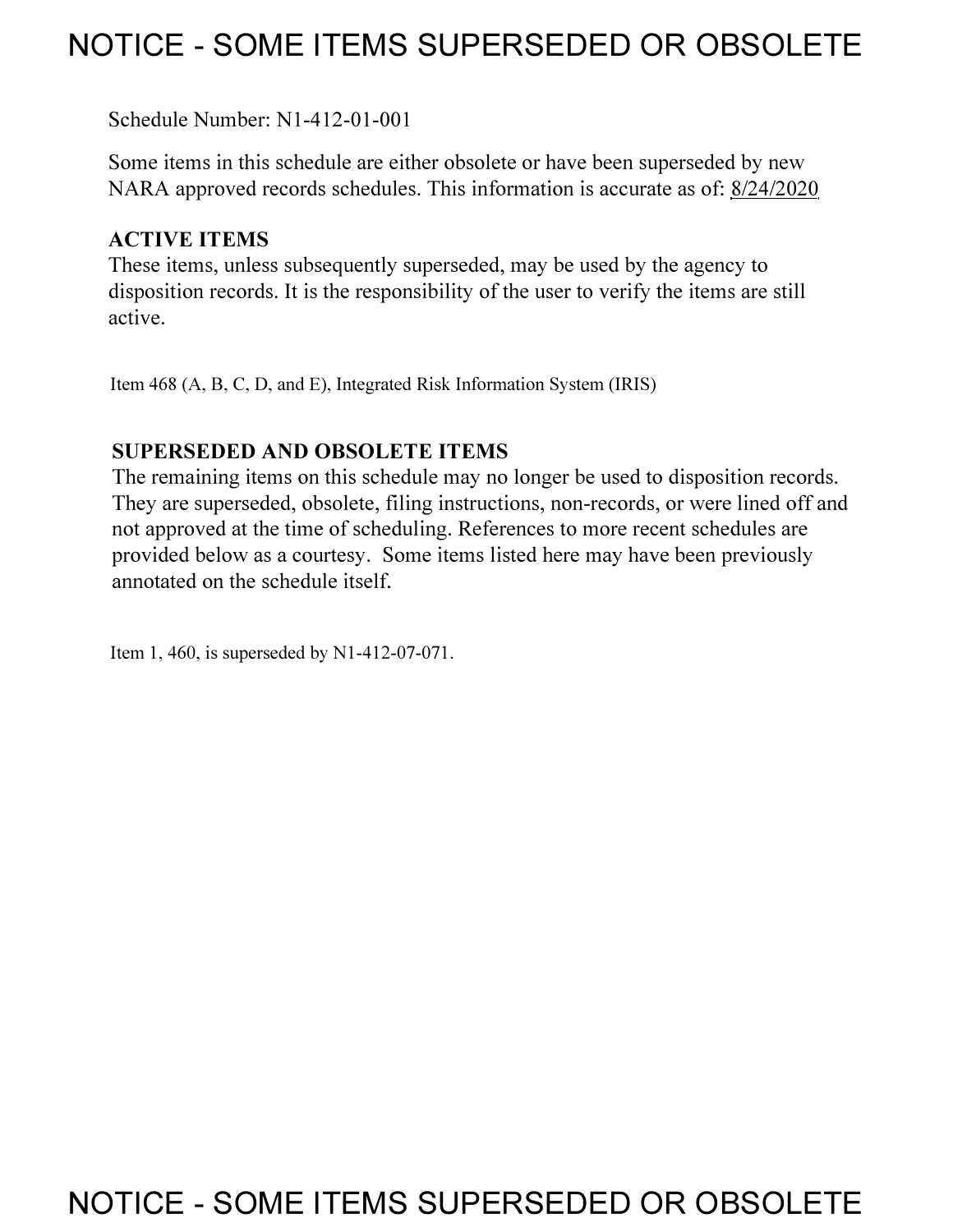# **NOTICE - SOME ITEMS SUPERSEDED OR OBSOLETE**

Schedule Number: Nl-412-01-001

Some items in this schedule are either obsolete or have been superseded by new NARA approved records schedules. This information is accurate as of: 8/24/2020

# **ACTIVE ITEMS**

These items, unless subsequently superseded, may be used by the agency to disposition records. It is the responsibility of the user to verify the items are still active.

Item 468 (A, B, C, D, and E), Integrated Risk Information System (IRIS)

# **SUPERSEDED AND OBSOLETE ITEMS**

The remaining items on this schedule may no longer be used to disposition records. They are superseded, obsolete, filing instructions, non-records, or were lined off and not approved at the time of scheduling. References to more recent schedules are provided below as a courtesy. Some items listed here may have been previously annotated on the schedule itself.

Item 1,460, is superseded by Nl-412-07-071.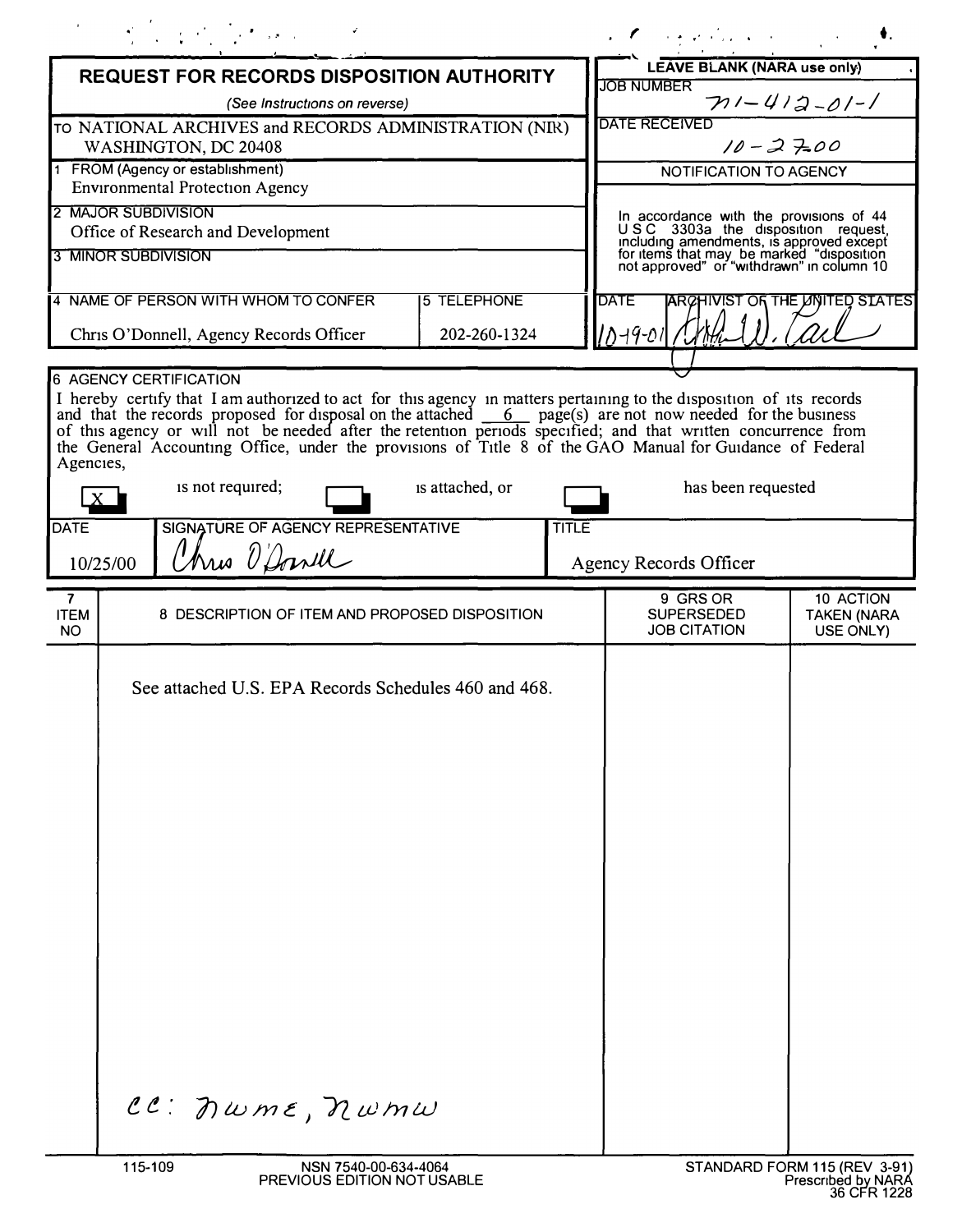|                                                                               |         | $\label{eq:2.1} \mathcal{L}^{\mathcal{A}}_{\mathcal{A}}=\mathcal{L}^{\mathcal{A}}_{\mathcal{A}}\left(\mathcal{L}^{\mathcal{A}}_{\mathcal{A}}\right) \otimes \mathcal{L}^{\mathcal{A}}_{\mathcal{A}}\left(\mathcal{L}^{\mathcal{A}}_{\mathcal{A}}\right) \otimes \mathcal{L}^{\mathcal{A}}_{\mathcal{A}}\left(\mathcal{L}^{\mathcal{A}}_{\mathcal{A}}\right) \otimes \mathcal{L}^{\mathcal{A}}_{\mathcal{A}}\left(\mathcal{L}^{\mathcal{A}}_{\mathcal{A}}\right) \ot$ |                 |                                                                                        | a Companies and Companies                                                                                                                                                                                                                                                                                                                                                                                                                                                                        |
|-------------------------------------------------------------------------------|---------|----------------------------------------------------------------------------------------------------------------------------------------------------------------------------------------------------------------------------------------------------------------------------------------------------------------------------------------------------------------------------------------------------------------------------------------------------------------------|-----------------|----------------------------------------------------------------------------------------|--------------------------------------------------------------------------------------------------------------------------------------------------------------------------------------------------------------------------------------------------------------------------------------------------------------------------------------------------------------------------------------------------------------------------------------------------------------------------------------------------|
| <b>REQUEST FOR RECORDS DISPOSITION AUTHORITY</b>                              |         |                                                                                                                                                                                                                                                                                                                                                                                                                                                                      |                 | LEAVE BLANK (NARA use only)                                                            |                                                                                                                                                                                                                                                                                                                                                                                                                                                                                                  |
| (See Instructions on reverse)                                                 |         |                                                                                                                                                                                                                                                                                                                                                                                                                                                                      |                 | <b>JOB NUMBER</b><br>$711 - 412 - 01 - 1$                                              |                                                                                                                                                                                                                                                                                                                                                                                                                                                                                                  |
| TO NATIONAL ARCHIVES and RECORDS ADMINISTRATION (NIR)<br>WASHINGTON, DC 20408 |         |                                                                                                                                                                                                                                                                                                                                                                                                                                                                      |                 |                                                                                        | <b>DATE RECEIVED</b><br>$10 - 27.00$                                                                                                                                                                                                                                                                                                                                                                                                                                                             |
| 1 FROM (Agency or establishment)<br><b>Environmental Protection Agency</b>    |         |                                                                                                                                                                                                                                                                                                                                                                                                                                                                      |                 |                                                                                        | NOTIFICATION TO AGENCY                                                                                                                                                                                                                                                                                                                                                                                                                                                                           |
| 2 MAJOR SUBDIVISION<br>Office of Research and Development                     |         |                                                                                                                                                                                                                                                                                                                                                                                                                                                                      |                 |                                                                                        | In accordance with the provisions of 44<br>USC 3303a the disposition request,<br>including amendments, is approved except                                                                                                                                                                                                                                                                                                                                                                        |
| 3 MINOR SUBDIVISION                                                           |         |                                                                                                                                                                                                                                                                                                                                                                                                                                                                      |                 | for items that may be marked "disposition<br>not approved" or "withdrawn" in column 10 |                                                                                                                                                                                                                                                                                                                                                                                                                                                                                                  |
| <b>5 TELEPHONE</b><br>4 NAME OF PERSON WITH WHOM TO CONFER<br>202-260-1324    |         |                                                                                                                                                                                                                                                                                                                                                                                                                                                                      |                 | <b>DATE</b><br>ARCHIVIST OF THE LINITED STATES<br>10-19-01 /                           |                                                                                                                                                                                                                                                                                                                                                                                                                                                                                                  |
| Chris O'Donnell, Agency Records Officer                                       |         |                                                                                                                                                                                                                                                                                                                                                                                                                                                                      |                 |                                                                                        |                                                                                                                                                                                                                                                                                                                                                                                                                                                                                                  |
| Agencies,<br><b>DATE</b>                                                      |         | <b>6 AGENCY CERTIFICATION</b><br>is not required;<br>SIGNATURE OF AGENCY REPRESENTATIVE                                                                                                                                                                                                                                                                                                                                                                              | is attached, or | <b>TITLE</b>                                                                           | I hereby certify that I am authorized to act for this agency in matters pertaining to the disposition of its records<br>and that the records proposed for disposal on the attached $\overline{6}$ page(s) are not now needed for the business<br>of this agency or will not be needed after the retention periods specified; and that written concurrence from<br>the General Accounting Office, under the provisions of Title 8 of the GAO Manual for Guidance of Federal<br>has been requested |
| Three O'Dowll<br>10/25/00                                                     |         |                                                                                                                                                                                                                                                                                                                                                                                                                                                                      |                 | Agency Records Officer                                                                 |                                                                                                                                                                                                                                                                                                                                                                                                                                                                                                  |
| 7<br><b>ITEM</b><br>NO.                                                       |         | 8 DESCRIPTION OF ITEM AND PROPOSED DISPOSITION                                                                                                                                                                                                                                                                                                                                                                                                                       |                 |                                                                                        | 9 GRS OR<br>10 ACTION<br><b>SUPERSEDED</b><br><b>TAKEN (NARA</b><br><b>JOB CITATION</b><br>USE ONLY)                                                                                                                                                                                                                                                                                                                                                                                             |
|                                                                               | 115-109 | See attached U.S. EPA Records Schedules 460 and 468.<br>CC: nwme, nwmw<br>NSN 7540-00-634-4064                                                                                                                                                                                                                                                                                                                                                                       |                 |                                                                                        | STANDARD FORM 115 (REV 3-91)                                                                                                                                                                                                                                                                                                                                                                                                                                                                     |
|                                                                               |         | PREVIOUS EDITION NOT USABLE                                                                                                                                                                                                                                                                                                                                                                                                                                          |                 |                                                                                        | Prescribed by NARA<br>36 CFR 1228                                                                                                                                                                                                                                                                                                                                                                                                                                                                |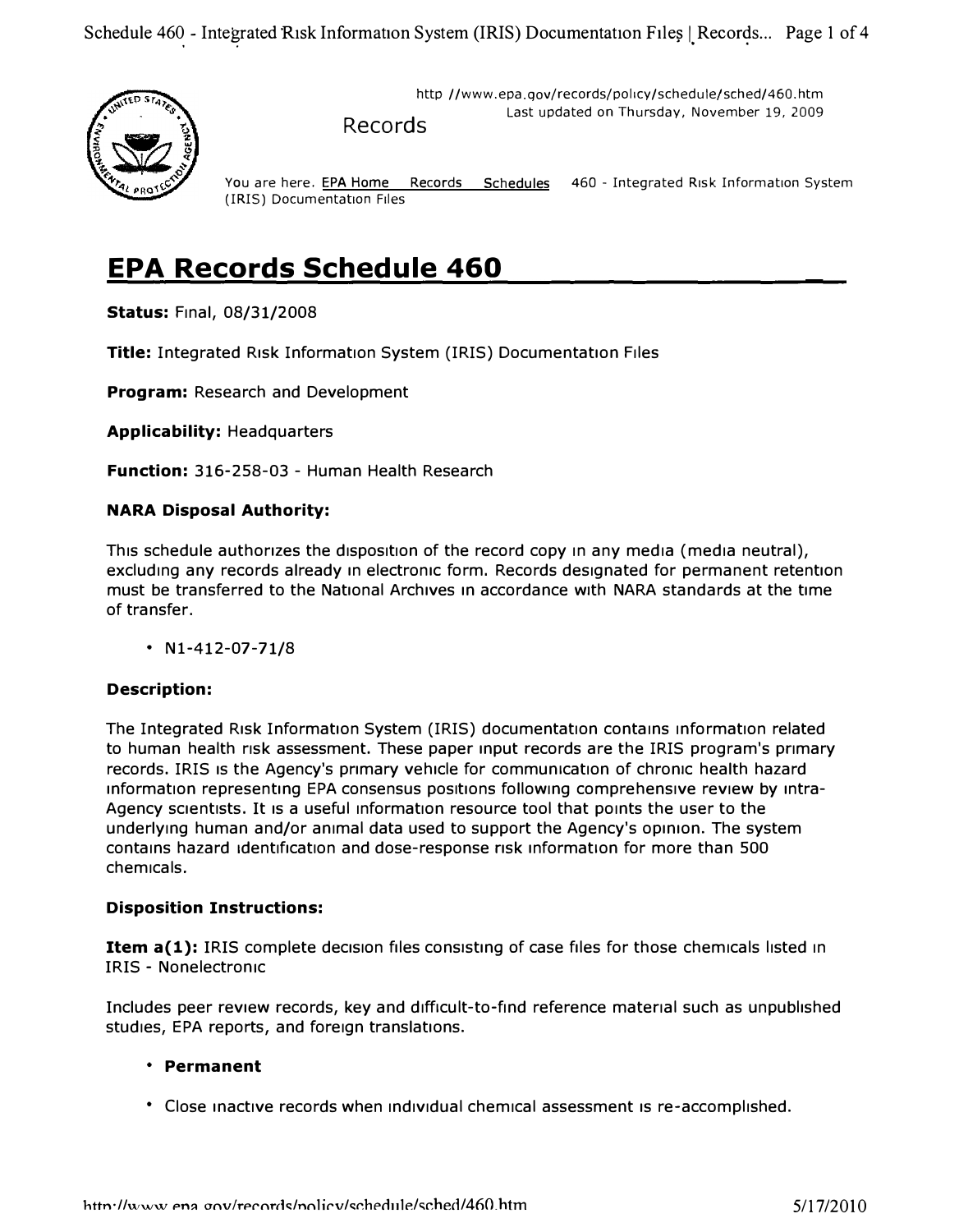

http //www.epa.gov/records/policy/schedule/sched/460.htm Last updated on Thursday, November 19, 2009 Records

You are here. EPA Home Records Schedules 460 - Integrated Risk Information System (IRIS) Documentation Files

# **EPA Records Schedule 460**

**Status:** Final, 08/31/2008

**Title:** Integrated Risk Information System {IRIS) Documentation Files

**Program: Research and Development** 

**Applicability:** Headquarters

**Function:** 316-258-03 - Human Health Research

#### **NARA Disposal Authority:**

This schedule authorizes the disposition of the record copy in any media (media neutral), excluding any records already in electronic form. Records designated for permanent retention must be transferred to the National Archives in accordance with NARA standards at the time of transfer.

• Nl-412-07-71/8

#### **Description:**

The Integrated Risk Information System {IRIS) documentation contains information related to human health risk assessment. These paper input records are the IRIS program's primary records. IRIS Is the Agency's primary vehicle for communication of chronic health hazard information representing EPA consensus positions following comprehensive review by intra-Agency scientists. It is a useful information resource tool that points the user to the underlying human and/or animal data used to support the Agency's opinion. The system contains hazard identification and dose-response risk information for more than 500 chemicals.

#### **Disposition Instructions:**

**Item a(1):** IRIS complete decision files consisting of case files for those chemicals listed in IRIS - Nonelectronic

Includes peer review records, key and difficult-to-find reference material such as unpublished studies, EPA reports, and foreign translations.

#### **• Permanent**

• Close inactive records when individual chemical assessment is re-accomplished.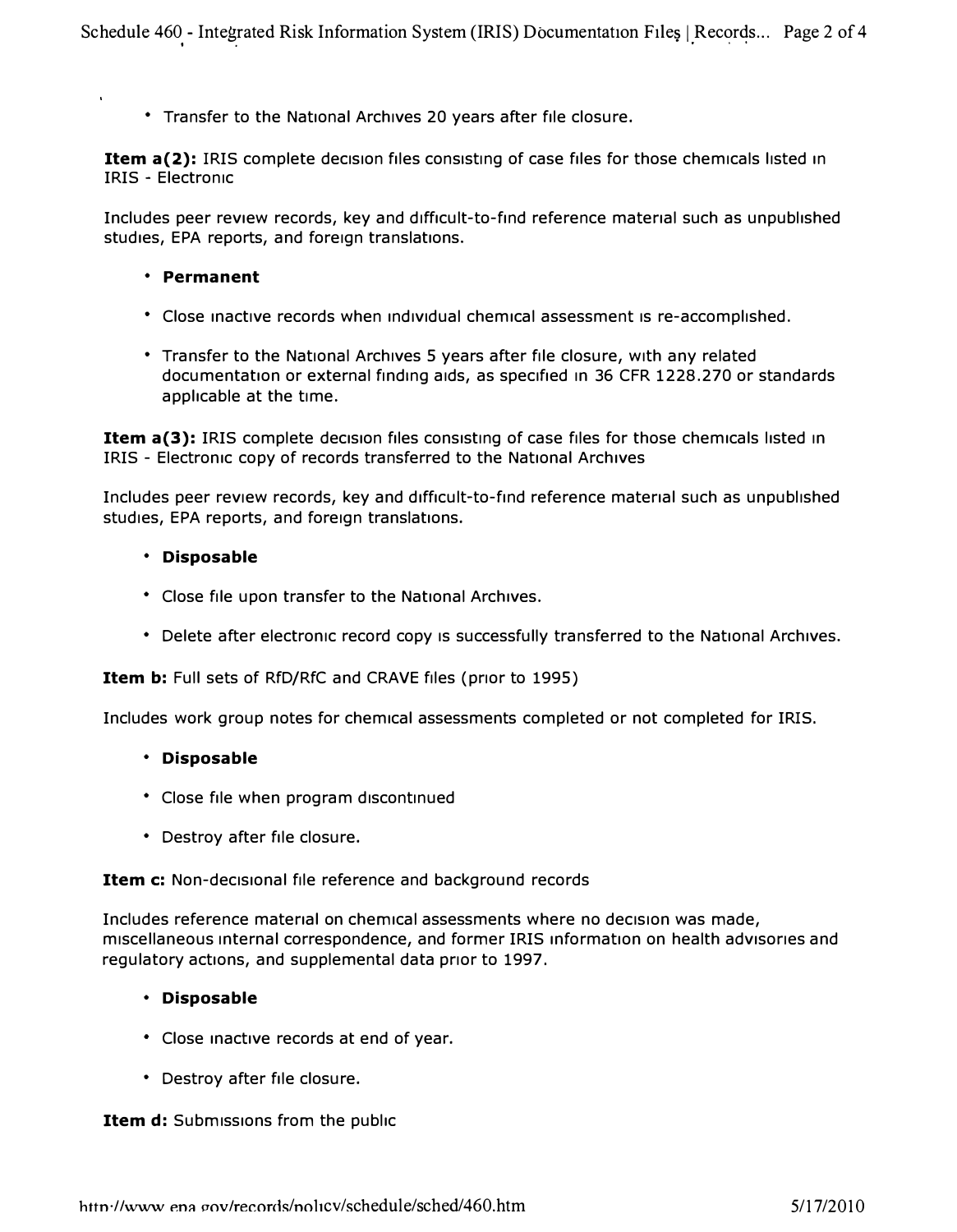**• Transfer to the National Archives 20 years after file closure.** 

**Item a(2):** IRIS complete decision files consisting of case files for those chemicals listed in **IRIS - Electronic** 

**Includes peer review records, key and difficult-to-find reference material such as unpublished studies, EPA reports, and foreign translations.** 

- **Permanent**
- **Close inactive records when ind1v1dual chemical assessment 1s re-accomplished.**
- **Transfer to the National Archives 5 years after file closure, with any related**  documentation or external finding aids, as specified in 36 CFR 1228.270 or standards **applicable at the time.**

**Item a(3):** IRIS complete decision files consisting of case files for those chemicals listed in **IRIS - Electronic copy of records transferred to the National Archives** 

Includes peer review records, key and difficult-to-find reference material such as unpublished **studies, EPA reports, and foreign translations.** 

#### **• Disposable**

- **Close file upon transfer to the National Archives.**
- **Delete after electronic record copy 1s successfully transferred to the National Archives.**

**Item b: Full sets of RfD/RfC and CRAVE files (prior to 1995)** 

**Includes work group notes for chemical assessments completed or not completed for IRIS.** 

#### **• Disposable**

- **Close file when program discontinued**
- **Destroy after file closure.**

**Item c:** Non-decisional file reference and background records

Includes reference material on chemical assessments where no decision was made, **miscellaneous internal correspondence, and former IRIS information on health advisories and regulatory actions, and supplemental data prior to 1997.** 

#### **• Disposable**

- **Close inactive records at end of year.**
- **Destroy after file closure.**

**Item d:** Submissions from the public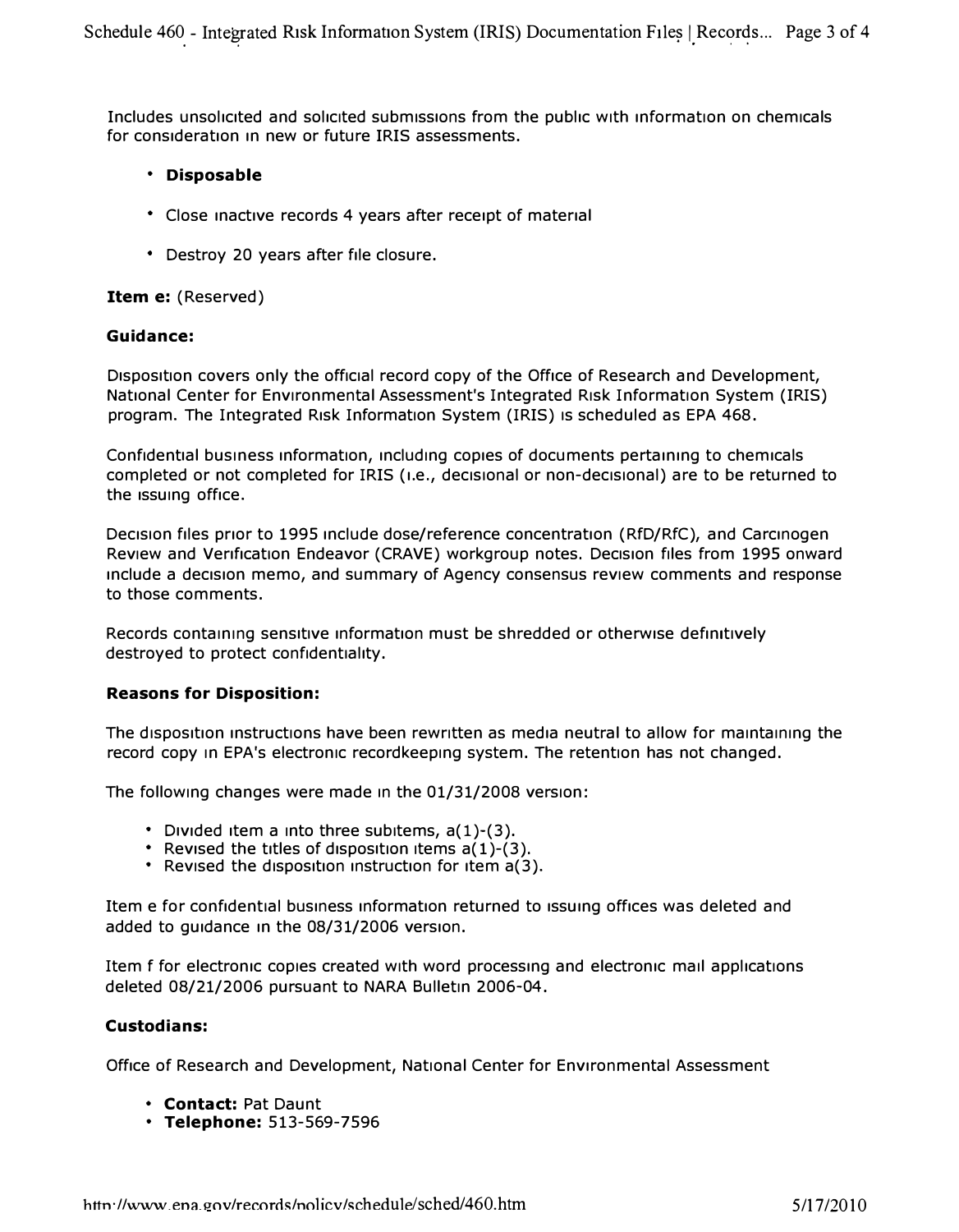Includes unsolicited and solicited submissions from the public with information on chemicals for consideration in new or future IRIS assessments.

#### **• Disposable**

- **Close inactive records 4 years after receipt of material**
- **Destroy 20 years after file closure.**

#### **Item e: (Reserved)**

#### **Guidance:**

Disposition covers only the official record copy of the Office of Research and Development, **National Center for Environmental Assessment's Integrated Risk Information System (IRIS) program. The Integrated Risk Information System (IRIS) Is scheduled as EPA 468.** 

Confidential business information, including copies of documents pertaining to chemicals completed or not completed for IRIS (i.e., decisional or non-decisional) are to be returned to **the issuing office.** 

**Dec1sIon files prior to 1995 include dose/reference concentration (RfD/RfC), and Carcinogen**  Review and Verification Endeavor (CRAVE) workgroup notes. Decision files from 1995 onward **include a dec1s1on memo, and summary of Agency consensus review comments and response to those comments.** 

Records containing sensitive information must be shredded or otherwise definitively destroyed to protect confidentiality.

#### **Reasons for Disposition:**

The disposition instructions have been rewritten as media neutral to allow for maintaining the **record copy in EPA's electronic recordkeeping system. The retention has not changed.** 

**The following changes were made In the 01/31/2008 version:** 

- Divided item a into three subitems,  $a(1)-(3)$ .
- Revised the titles of disposition items  $a(1)-(3)$ .
- **Revised the disposition instruction for item a(3).**

Item e for confidential business information returned to issuing offices was deleted and **added to guidance in the 08/31/2006 version.** 

**Item f for electronic copies created with word processing and electronic mail applications deleted 08/21/2006 pursuant to NARA Bulletin 2006-04.** 

#### **Custodians:**

**Office of Research and Development, National Center for Environmental Assessment** 

- **Contact: Pat Daunt**
- **Telephone: 513-569-7596**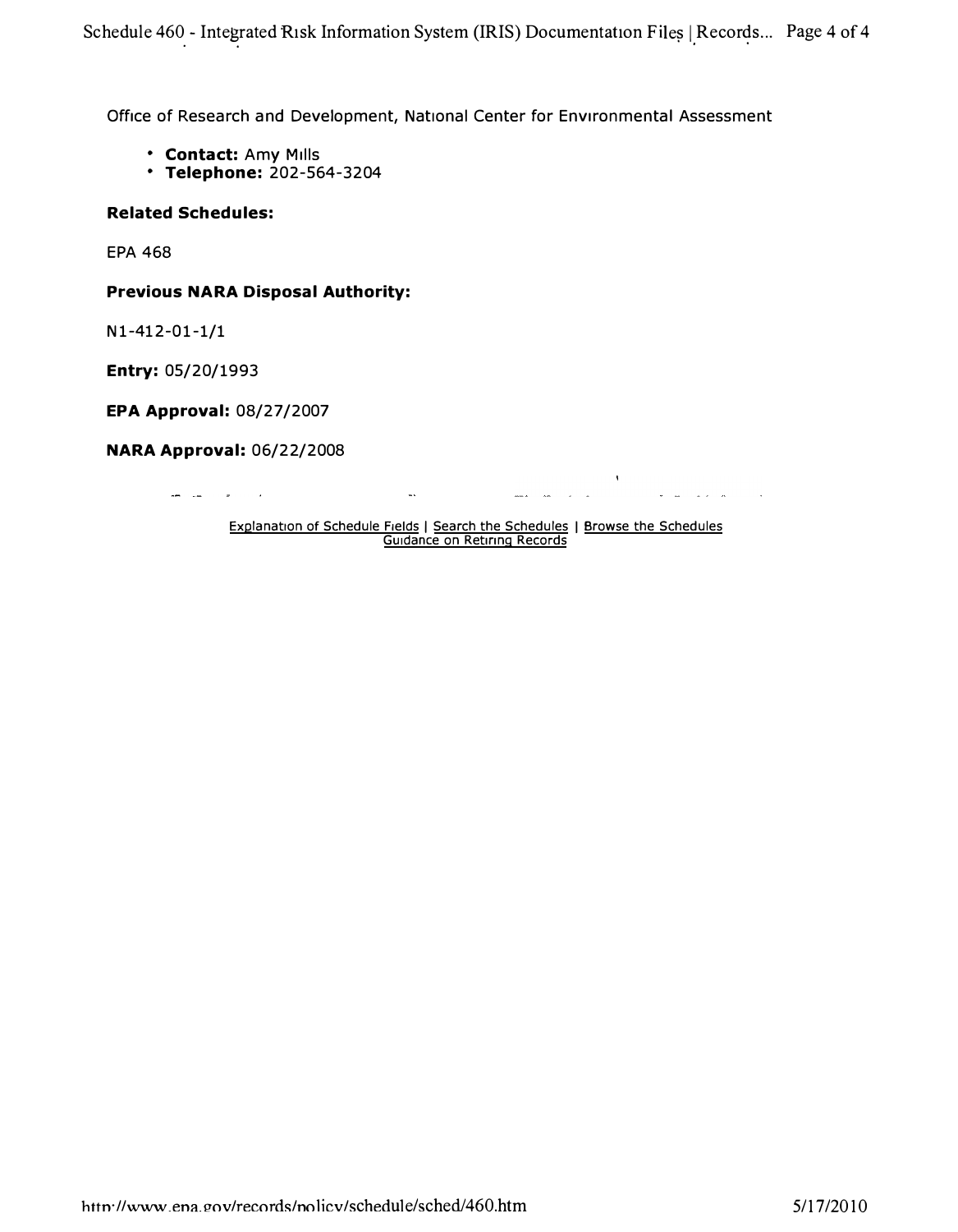**Office of Research and Development, National Center for Environmental Assessment** 

• <sup>I</sup> •

- **Contact: Amy Mills**
- **Telephone: 202-564-3204**

#### **Related Schedules:**

**EPA 468** 

#### **Previous NARA Disposal Authority:**

**N 1-412-0 1-1/1** 

**Entry: 05/20/1993** 

**EPA Approval: 08/27/2007** 

**NARA Approval: 06/22/2008** 

 $\sim 10$ 

المناسب السدا

Explanation of Schedule Fields | Search the Schedules | Browse the Schedules Guidance on Retiring Records

alan kacamatan dan sama dan sama dalam kacamatan dan sama dalam kacamatan dalam dalam dalam dalam dalam dalam <br>Sebagai dalam kacamatan dalam kacamatan dalam kacamatan dalam dalam dalam dalam dalam dalam dalam dalam dalam

 $\sim$ 

 $\lambda$ 

المناصب المتاريخ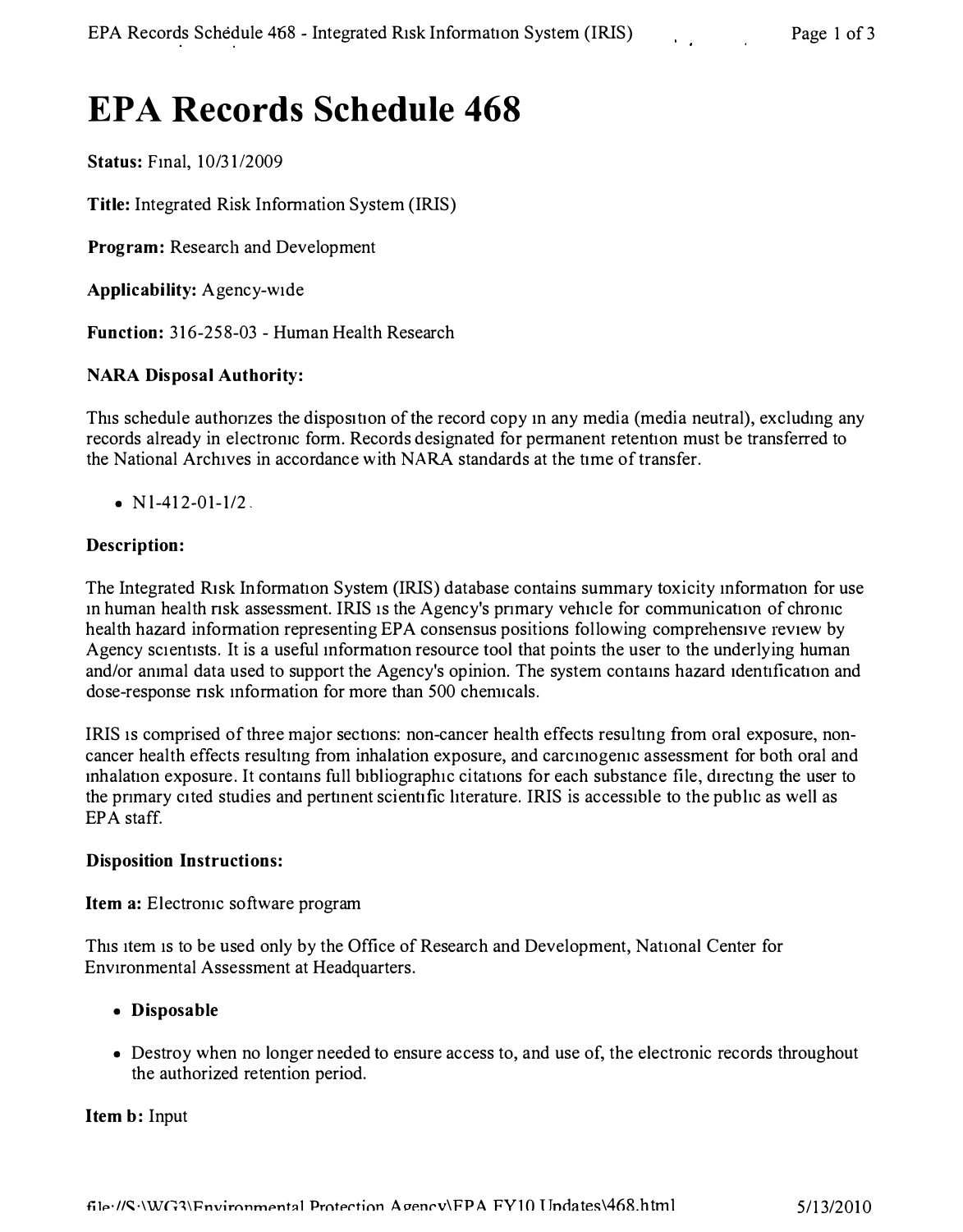# **EPA Records Schedule 468**

**Status: Final, 10/31/2009** 

**Title:** Integrated Risk Information System (IRIS)

**Program:** Research and Development

**Applicability:** Agency-wide

**Function:** 316-258-03 - Human Health Research

#### **NARA Disposal Authority:**

This schedule authorizes the disposition of the record copy in any media (media neutral), excluding any records already in electromc form. Records designated for permanent retention must be transferred to the National Archives in accordance with NARA standards at the time of transfer.

•  $N1-412-01-1/2$ .

#### **Description:**

The Integrated Risk Information System (IRIS) database contains summary toxicity mformation for use in human health risk assessment. IRIS is the Agency's primary vehicle for communication of chronic health hazard information representing EPA consensus positions following comprehensive review by Agency scientists. It is a useful mformation resource tool that points the user to the underlying human and/or ammal data used to support the Agency's opinion. The system contams hazard identification and dose-response risk information for more than 500 chemicals.

IRIS is comprised of three major sections: non-cancer health effects resultmg from oral exposure, noncancer health effects resultmg from inhalation exposure, and carcmogemc assessment for both oral and inhalation exposure. It contains full bibliographic citations for each substance file, directing the user to the pnmary cited studies and pertment scientific hterature. IRIS is accessible to the pubhc as well as EPA staff.

#### **Disposition Instructions:**

**Item a:** Electronic software program

This item is to be used only by the Office of Research and Development, National Center for Environmental Assessment at Headquarters.

#### **• Disposable**

• Destroy when no longer needed to ensure access to, and use of, the electronic records throughout the authorized retention period.

**Item b:** Input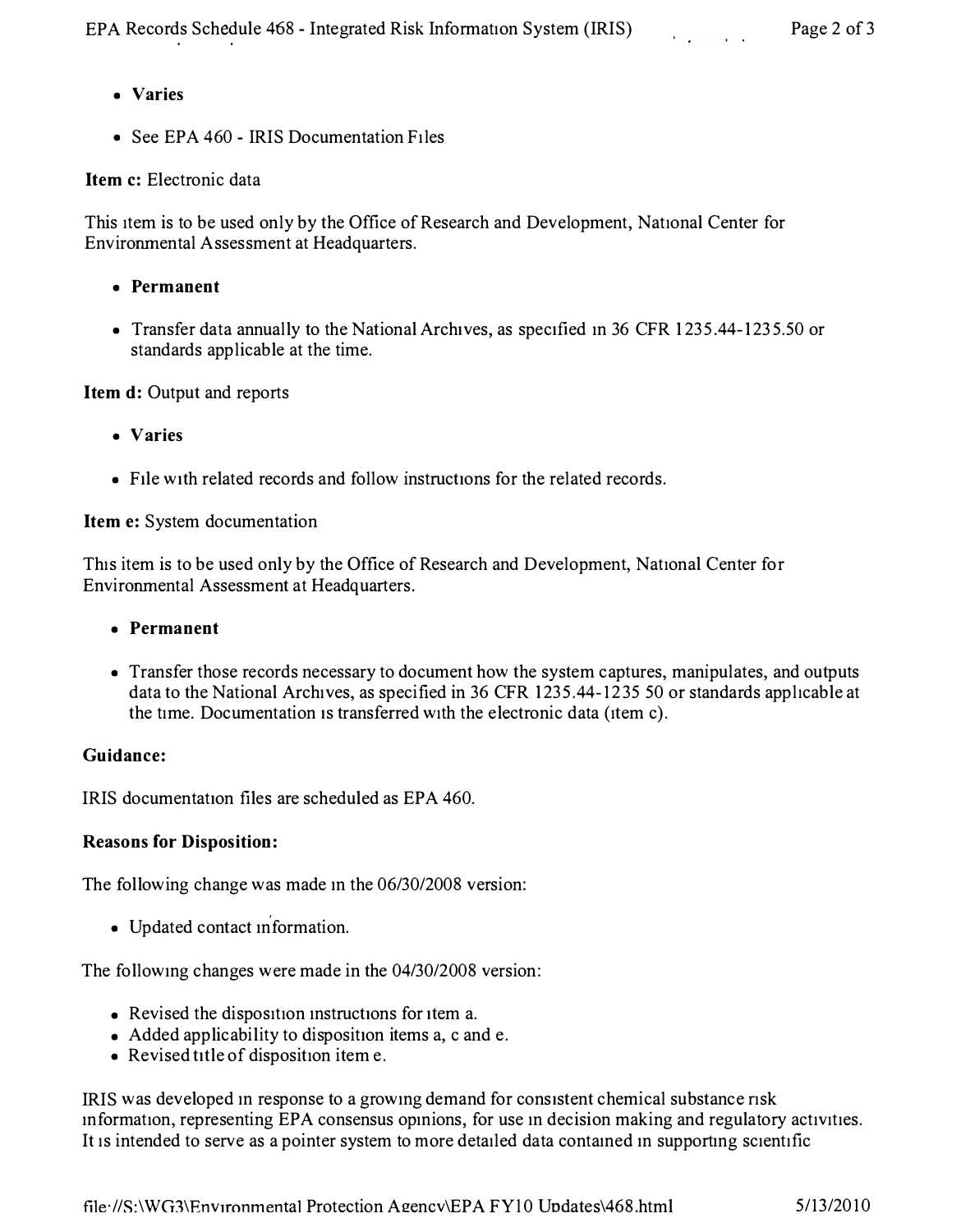- **Varies**
- See EPA 460 IRIS Documentation Files

# **Item c:** Electronic data

This item is to be used only by the Office of Research and Development, National Center for Environmental Assessment at Headquarters.

- **Permanent**
- Transfer data annually to the National Archives, as specified in 36 CFR 123[5.44-1235.5](http:1235.44-1235.50)0 or standards applicable at the time.

# **Item d:** Output and reports

- **Varies**
- File with related records and follow instructions for the related records.

### **Item e:** System documentation

This item is to be used only by the Office of Research and Development, National Center for Environmental Assessment at Headquarters.

# **• Permanent**

• Transfer those records necessary to document how the system captures, manipulates, and outputs data to the National Archives, as specified in 36 CFR 1235.44-1235 50 or standards applicable at the time. Documentation 1s transferred with the electronic data (item c).

# **Guidance:**

IRIS documentation files are scheduled as EPA 460.

# **Reasons for Disposition:**

The following change was made in the 06/30/2008 version:

• Updated contact mformation.

The followmg changes were made in the 04/30/2008 version:

- Revised the disposition instructions for item a.
- Added applicability to disposition items a, c and e.
- Revised title of disposition item e.

IRIS was developed m response to a growmg demand for consistent chemical substance nsk mformation, representing EPA consensus opmions, for use m decision making and regulatory activities. It is intended to serve as a pointer system to more detailed data contamed m supportmg scientific